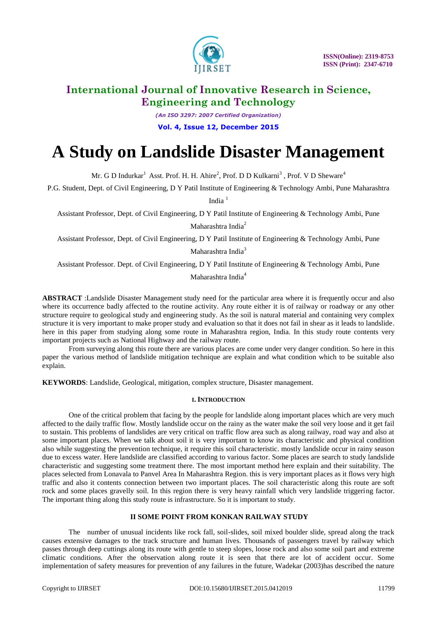

*(An ISO 3297: 2007 Certified Organization)* **Vol. 4, Issue 12, December 2015**

# **A Study on Landslide Disaster Management**

Mr. G D Indurkar<sup>1</sup> Asst. Prof. H. H. Ahire<sup>2</sup>, Prof. D D Kulkarni<sup>3</sup>, Prof. V D Sheware<sup>4</sup>

P.G. Student, Dept. of Civil Engineering, D Y Patil Institute of Engineering & Technology Ambi, Pune Maharashtra

India  $1$ 

Assistant Professor, Dept. of Civil Engineering, D Y Patil Institute of Engineering & Technology Ambi, Pune

Maharashtra India<sup>2</sup>

Assistant Professor, Dept. of Civil Engineering, D Y Patil Institute of Engineering & Technology Ambi, Pune

Maharashtra India<sup>3</sup>

Assistant Professor. Dept. of Civil Engineering, D Y Patil Institute of Engineering & Technology Ambi, Pune

Maharashtra India<sup>4</sup>

**ABSTRACT** :Landslide Disaster Management study need for the particular area where it is frequently occur and also where its occurrence badly affected to the routine activity. Any route either it is of railway or roadway or any other structure require to geological study and engineering study. As the soil is natural material and containing very complex structure it is very important to make proper study and evaluation so that it does not fail in shear as it leads to landslide. here in this paper from studying along some route in Maharashtra region, India. In this study route contents very important projects such as National Highway and the railway route.

From surveying along this route there are various places are come under very danger condition. So here in this paper the various method of landslide mitigation technique are explain and what condition which to be suitable also explain.

**KEYWORDS**: Landslide, Geological, mitigation, complex structure, Disaster management.

### **I. INTRODUCTION**

One of the critical problem that facing by the people for landslide along important places which are very much affected to the daily traffic flow. Mostly landslide occur on the rainy as the water make the soil very loose and it get fail to sustain. This problems of landslides are very critical on traffic flow area such as along railway, road way and also at some important places. When we talk about soil it is very important to know its characteristic and physical condition also while suggesting the prevention technique, it require this soil characteristic. mostly landslide occur in rainy season due to excess water. Here landslide are classified according to various factor. Some places are search to study landslide characteristic and suggesting some treatment there. The most important method here explain and their suitability. The places selected from Lonavala to Panvel Area In Maharashtra Region. this is very important places as it flows very high traffic and also it contents connection between two important places. The soil characteristic along this route are soft rock and some places gravelly soil. In this region there is very heavy rainfall which very landslide triggering factor. The important thing along this study route is infrastructure. So it is important to study.

# **II SOME POINT FROM KONKAN RAILWAY STUDY**

The number of unusual incidents like rock fall, soil-slides, soil mixed boulder slide, spread along the track causes extensive damages to the track structure and human lives. Thousands of passengers travel by railway which passes through deep cuttings along its route with gentle to steep slopes, loose rock and also some soil part and extreme climatic conditions. After the observation along route it is seen that there are lot of accident occur. Some implementation of safety measures for prevention of any failures in the future, Wadekar (2003)has described the nature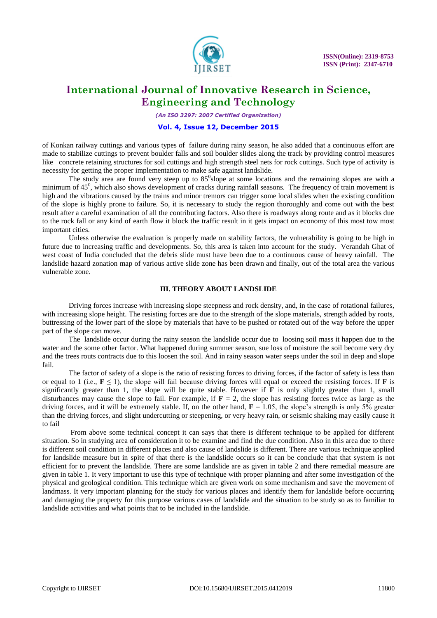

*(An ISO 3297: 2007 Certified Organization)*

#### **Vol. 4, Issue 12, December 2015**

of Konkan railway cuttings and various types of failure during rainy season, he also added that a continuous effort are made to stabilize cuttings to prevent boulder falls and soil boulder slides along the track by providing control measures like concrete retaining structures for soil cuttings and high strength steel nets for rock cuttings. Such type of activity is necessity for getting the proper implementation to make safe against landslide.

The study area are found very steep up to  $85^\circ$ slope at some locations and the remaining slopes are with a minimum of  $45^\circ$ , which also shows development of cracks during rainfall seasons. The frequency of train movement is high and the vibrations caused by the trains and minor tremors can trigger some local slides when the existing condition of the slope is highly prone to failure. So, it is necessary to study the region thoroughly and come out with the best result after a careful examination of all the contributing factors. Also there is roadways along route and as it blocks due to the rock fall or any kind of earth flow it block the traffic result in it gets impact on economy of this most tow most important cities.

Unless otherwise the evaluation is properly made on stability factors, the vulnerability is going to be high in future due to increasing traffic and developments. So, this area is taken into account for the study. Verandah Ghat of west coast of India concluded that the debris slide must have been due to a continuous cause of heavy rainfall. The landslide hazard zonation map of various active slide zone has been drawn and finally, out of the total area the various vulnerable zone.

#### **III. THEORY ABOUT LANDSLIDE**

Driving forces increase with increasing slope steepness and rock density, and, in the case of rotational failures, with increasing slope height. The resisting forces are due to the strength of the slope materials, strength added by roots, buttressing of the lower part of the slope by materials that have to be pushed or rotated out of the way before the upper part of the slope can move.

The landslide occur during the rainy season the landslide occur due to loosing soil mass it happen due to the water and the some other factor. What happened during summer season, sue loss of moisture the soil become very dry and the trees routs contracts due to this loosen the soil. And in rainy season water seeps under the soil in deep and slope fail.

The factor of safety of a slope is the ratio of resisting forces to driving forces, if the factor of safety is less than or equal to 1 (i.e.,  $\mathbf{F} \le 1$ ), the slope will fail because driving forces will equal or exceed the resisting forces. If **F** is significantly greater than 1, the slope will be quite stable. However if  $\bf{F}$  is only slightly greater than 1, small disturbances may cause the slope to fail. For example, if  $\mathbf{F} = 2$ , the slope has resisting forces twice as large as the driving forces, and it will be extremely stable. If, on the other hand,  $\mathbf{F} = 1.05$ , the slope's strength is only 5% greater than the driving forces, and slight undercutting or steepening, or very heavy rain, or seismic shaking may easily cause it to fail

From above some technical concept it can says that there is different technique to be applied for different situation. So in studying area of consideration it to be examine and find the due condition. Also in this area due to there is different soil condition in different places and also cause of landslide is different. There are various technique applied for landslide measure but in spite of that there is the landslide occurs so it can be conclude that that system is not efficient for to prevent the landslide. There are some landslide are as given in table 2 and there remedial measure are given in table 1. It very important to use this type of technique with proper planning and after some investigation of the physical and geological condition. This technique which are given work on some mechanism and save the movement of landmass. It very important planning for the study for various places and identify them for landslide before occurring and damaging the property for this purpose various cases of landslide and the situation to be study so as to familiar to landslide activities and what points that to be included in the landslide.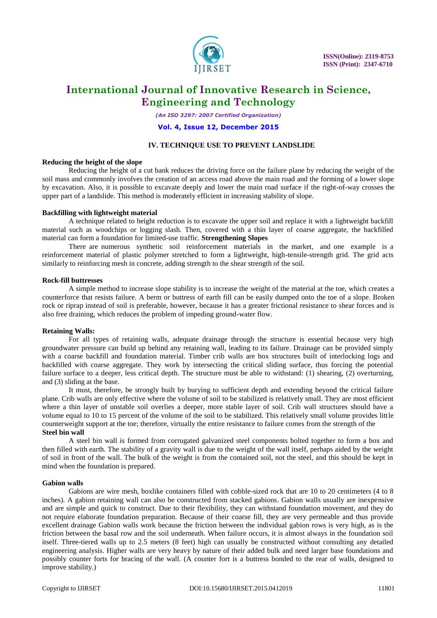

*(An ISO 3297: 2007 Certified Organization)*

#### **Vol. 4, Issue 12, December 2015**

#### **IV. TECHNIQUE USE TO PREVENT LANDSLIDE**

#### **Reducing the height of the slope**

Reducing the height of a cut bank reduces the driving force on the failure plane by reducing the weight of the soil mass and commonly involves the creation of an access road above the main road and the forming of a lower slope by excavation. Also, it is possible to excavate deeply and lower the main road surface if the right-of-way crosses the upper part of a landslide. This method is moderately efficient in increasing stability of slope.

#### **Backfilling with lightweight material**

A technique related to height reduction is to excavate the upper soil and replace it with a lightweight backfill material such as woodchips or logging slash. Then, covered with a thin layer of coarse aggregate, the backfilled material can form a foundation for limited-use traffic. **Strengthening Slopes**

There are numerous synthetic soil reinforcement materials in the market, and one example is a reinforcement material of plastic polymer stretched to form a lightweight, high-tensile-strength grid. The grid acts similarly to reinforcing mesh in concrete, adding strength to the shear strength of the soil.

#### **Rock-fill buttresses**

A simple method to increase slope stability is to increase the weight of the material at the toe, which creates a counterforce that resists failure. A berm or buttress of earth fill can be easily dumped onto the toe of a slope. Broken rock or riprap instead of soil is preferable, however, because it has a greater frictional resistance to shear forces and is also free draining, which reduces the problem of impeding ground-water flow.

#### **Retaining Walls:**

For all types of retaining walls, adequate drainage through the structure is essential because very high groundwater pressure can build up behind any retaining wall, leading to its failure. Drainage can be provided simply with a coarse backfill and foundation material. Timber crib walls are box structures built of interlocking logs and backfilled with coarse aggregate. They work by intersecting the critical sliding surface, thus forcing the potential failure surface to a deeper, less critical depth. The structure must be able to withstand: (1) shearing, (2) overturning, and (3) sliding at the base.

It must, therefore, be strongly built by burying to sufficient depth and extending beyond the critical failure plane. Crib walls are only effective where the volume of soil to be stabilized is relatively small. They are most efficient where a thin layer of unstable soil overlies a deeper, more stable layer of soil. Crib wall structures should have a volume equal to 10 to 15 percent of the volume of the soil to be stabilized. This relatively small volume provides little counterweight support at the toe; therefore, virtually the entire resistance to failure comes from the strength of the **Steel bin wall** 

A steel bin wall is formed from corrugated galvanized steel components bolted together to form a box and then filled with earth. The stability of a gravity wall is due to the weight of the wall itself, perhaps aided by the weight of soil in front of the wall. The bulk of the weight is from the contained soil, not the steel, and this should be kept in mind when the foundation is prepared.

#### **Gabion walls**

Gabions are wire mesh, boxlike containers filled with cobble-sized rock that are 10 to 20 centimeters (4 to 8 inches). A gabion retaining wall can also be constructed from stacked gabions. Gabion walls usually are inexpensive and are simple and quick to construct. Due to their flexibility, they can withstand foundation movement, and they do not require elaborate foundation preparation. Because of their coarse fill, they are very permeable and thus provide excellent drainage Gabion walls work because the friction between the individual gabion rows is very high, as is the friction between the basal row and the soil underneath. When failure occurs, it is almost always in the foundation soil itself. Three-tiered walls up to 2.5 meters (8 feet) high can usually be constructed without consulting any detailed engineering analysis. Higher walls are very heavy by nature of their added bulk and need larger base foundations and possibly counter forts for bracing of the wall. (A counter fort is a buttress bonded to the rear of walls, designed to improve stability.)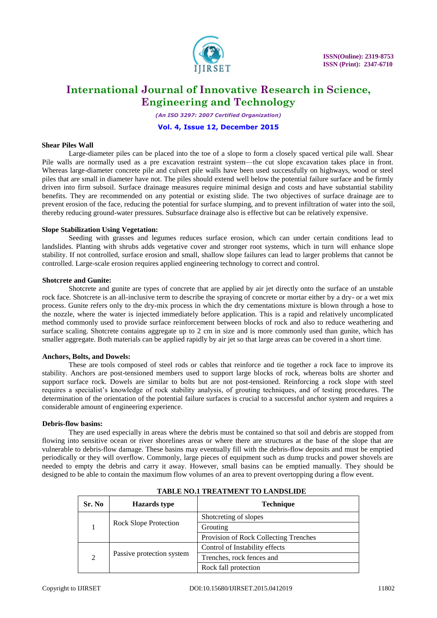

*(An ISO 3297: 2007 Certified Organization)*

#### **Vol. 4, Issue 12, December 2015**

#### **Shear Piles Wall**

Large-diameter piles can be placed into the toe of a slope to form a closely spaced vertical pile wall. Shear Pile walls are normally used as a pre excavation restraint system—the cut slope excavation takes place in front. Whereas large-diameter concrete pile and culvert pile walls have been used successfully on highways, wood or steel piles that are small in diameter have not. The piles should extend well below the potential failure surface and be firmly driven into firm subsoil. Surface drainage measures require minimal design and costs and have substantial stability benefits. They are recommended on any potential or existing slide. The two objectives of surface drainage are to prevent erosion of the face, reducing the potential for surface slumping, and to prevent infiltration of water into the soil, thereby reducing ground-water pressures. Subsurface drainage also is effective but can be relatively expensive.

#### **Slope Stabilization Using Vegetation:**

Seeding with grasses and legumes reduces surface erosion, which can under certain conditions lead to landslides. Planting with shrubs adds vegetative cover and stronger root systems, which in turn will enhance slope stability. If not controlled, surface erosion and small, shallow slope failures can lead to larger problems that cannot be controlled. Large-scale erosion requires applied engineering technology to correct and control.

#### **Shotcrete and Gunite:**

Shotcrete and gunite are types of concrete that are applied by air jet directly onto the surface of an unstable rock face. Shotcrete is an all-inclusive term to describe the spraying of concrete or mortar either by a dry- or a wet mix process. Gunite refers only to the dry-mix process in which the dry cementations mixture is blown through a hose to the nozzle, where the water is injected immediately before application. This is a rapid and relatively uncomplicated method commonly used to provide surface reinforcement between blocks of rock and also to reduce weathering and surface scaling. Shotcrete contains aggregate up to 2 cm in size and is more commonly used than gunite, which has smaller aggregate. Both materials can be applied rapidly by air jet so that large areas can be covered in a short time.

#### **Anchors, Bolts, and Dowels:**

These are tools composed of steel rods or cables that reinforce and tie together a rock face to improve its stability. Anchors are post-tensioned members used to support large blocks of rock, whereas bolts are shorter and support surface rock. Dowels are similar to bolts but are not post-tensioned. Reinforcing a rock slope with steel requires a specialist's knowledge of rock stability analysis, of grouting techniques, and of testing procedures. The determination of the orientation of the potential failure surfaces is crucial to a successful anchor system and requires a considerable amount of engineering experience.

#### **Debris-flow basins:**

They are used especially in areas where the debris must be contained so that soil and debris are stopped from flowing into sensitive ocean or river shorelines areas or where there are structures at the base of the slope that are vulnerable to debris-flow damage. These basins may eventually fill with the debris-flow deposits and must be emptied periodically or they will overflow. Commonly, large pieces of equipment such as dump trucks and power shovels are needed to empty the debris and carry it away. However, small basins can be emptied manually. They should be designed to be able to contain the maximum flow volumes of an area to prevent overtopping during a flow event.

| Sr. No | <b>Hazards</b> type          | <b>Technique</b>                      |
|--------|------------------------------|---------------------------------------|
|        | <b>Rock Slope Protection</b> | Shotcreting of slopes                 |
|        |                              | Grouting                              |
|        |                              | Provision of Rock Collecting Trenches |
|        | Passive protection system    | Control of Instability effects        |
|        |                              | Trenches, rock fences and             |
|        |                              | Rock fall protection                  |

## **TABLE NO.1 TREATMENT TO LANDSLIDE**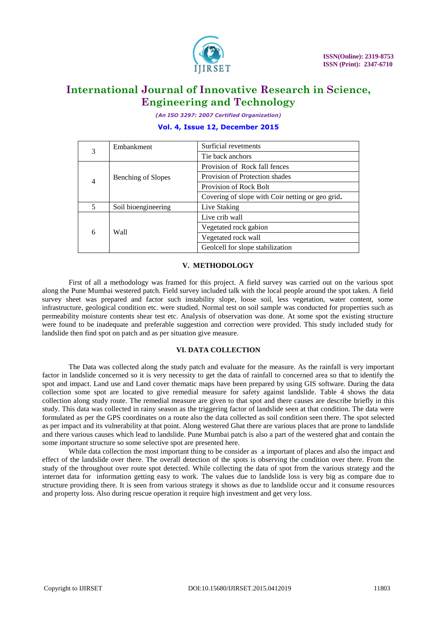

*(An ISO 3297: 2007 Certified Organization)*

### **Vol. 4, Issue 12, December 2015**

| 3 | Embankment          | Surficial revetments                             |
|---|---------------------|--------------------------------------------------|
|   |                     | Tie back anchors                                 |
| 4 |                     | Provision of Rock fall fences                    |
|   | Benching of Slopes  | Provision of Protection shades                   |
|   |                     | Provision of Rock Bolt                           |
|   |                     | Covering of slope with Coir netting or geo grid. |
| 5 | Soil bioengineering | Live Staking                                     |
| 6 | Wall                | Live crib wall                                   |
|   |                     | Vegetated rock gabion                            |
|   |                     | Vegetated rock wall                              |
|   |                     | Geolcell for slope stabilization                 |

#### **V. METHODOLOGY**

First of all a methodology was framed for this project. A field survey was carried out on the various spot along the Pune Mumbai westered patch. Field survey included talk with the local people around the spot taken. A field survey sheet was prepared and factor such instability slope, loose soil, less vegetation, water content, some infrastructure, geological condition etc. were studied. Normal test on soil sample was conducted for properties such as permeability moisture contents shear test etc. Analysis of observation was done. At some spot the existing structure were found to be inadequate and preferable suggestion and correction were provided. This study included study for landslide then find spot on patch and as per situation give measure.

#### **VI. DATA COLLECTION**

The Data was collected along the study patch and evaluate for the measure. As the rainfall is very important factor in landslide concerned so it is very necessity to get the data of rainfall to concerned area so that to identify the spot and impact. Land use and Land cover thematic maps have been prepared by using GIS software. During the data collection some spot are located to give remedial measure for safety against landslide. Table 4 shows the data collection along study route. The remedial measure are given to that spot and there causes are describe briefly in this study. This data was collected in rainy season as the triggering factor of landslide seen at that condition. The data were formulated as per the GPS coordinates on a route also the data collected as soil condition seen there. The spot selected as per impact and its vulnerability at that point. Along westered Ghat there are various places that are prone to landslide and there various causes which lead to landslide. Pune Mumbai patch is also a part of the westered ghat and contain the some important structure so some selective spot are presented here.

While data collection the most important thing to be consider as a important of places and also the impact and effect of the landslide over there. The overall detection of the spots is observing the condition over there. From the study of the throughout over route spot detected. While collecting the data of spot from the various strategy and the internet data for information getting easy to work. The values due to landslide loss is very big as compare due to structure providing there. It is seen from various strategy it shows as due to landslide occur and it consume resources and property loss. Also during rescue operation it require high investment and get very loss.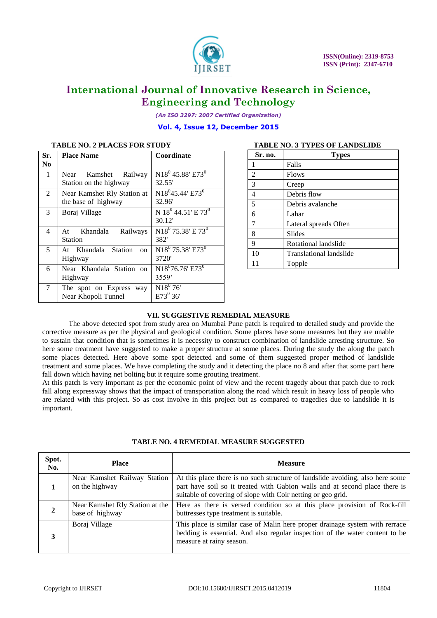

*(An ISO 3297: 2007 Certified Organization)*

## **Vol. 4, Issue 12, December 2015**

| , , , , , , , , , , , , , , , , , |                                                      |                                                       |  |  |
|-----------------------------------|------------------------------------------------------|-------------------------------------------------------|--|--|
| Sr.<br>N <sub>0</sub>             | <b>Place Name</b>                                    | Coordinate                                            |  |  |
| $\mathbf{1}$                      | Railway<br>Kamshet<br>Near<br>Station on the highway | $\overline{N18^0 45.88}$ ' E73 <sup>0</sup><br>32.55' |  |  |
| 2                                 | Near Kamshet Rly Station at<br>the base of highway   | $N18^{0}45.44' E73^{0}$<br>32.96'                     |  |  |
| 3                                 | Boraj Village                                        | N $18^0$ 44.51' E 73 <sup>0</sup><br>30.12'           |  |  |
| 4                                 | At Khandala<br>Railways<br>Station                   | $N18^{0}$ 75.38' E 73 <sup>0</sup><br>382'            |  |  |
| 5                                 | At Khandala Station<br>on<br>Highway                 | $N18^0$ 75.38' E73 $^0$<br>3720'                      |  |  |
| 6                                 | Near Khandala Station on<br>Highway                  | $N18^{0}76.76' E73^{0}$<br>3559'                      |  |  |
| 7                                 | The spot on Express<br>way<br>Near Khopoli Tunnel    | $N18^{0}76'$<br>$E73^{0}$ 36'                         |  |  |

#### **TABLE NO. 2 PLACES FOR STUDY TABLE NO. 3 TYPES OF LANDSLIDE**

| Sr. no. | <b>Types</b>            |
|---------|-------------------------|
| 1       | Falls                   |
| 2       | <b>Flows</b>            |
| 3       | Creep                   |
| 4       | Debris flow             |
| 5       | Debris avalanche        |
| 6       | Lahar                   |
| 7       | Lateral spreads Often   |
| 8       | Slides                  |
| 9       | Rotational landslide    |
| 10      | Translational landslide |
| 11      | Topple                  |

### **VII. SUGGESTIVE REMEDIAL MEASURE**

The above detected spot from study area on Mumbai Pune patch is required to detailed study and provide the corrective measure as per the physical and geological condition. Some places have some measures but they are unable to sustain that condition that is sometimes it is necessity to construct combination of landslide arresting structure. So here some treatment have suggested to make a proper structure at some places. During the study the along the patch some places detected. Here above some spot detected and some of them suggested proper method of landslide treatment and some places. We have completing the study and it detecting the place no 8 and after that some part here fall down which having net bolting but it require some grouting treatment.

At this patch is very important as per the economic point of view and the recent tragedy about that patch due to rock fall along expressway shows that the impact of transportation along the road which result in heavy loss of people who are related with this project. So as cost involve in this project but as compared to tragedies due to landslide it is important.

| Spot.<br>No. | <b>Place</b>                                       | <b>Measure</b>                                                                                                                                                                                                                |
|--------------|----------------------------------------------------|-------------------------------------------------------------------------------------------------------------------------------------------------------------------------------------------------------------------------------|
|              | Near Kamshet Railway Station<br>on the highway     | At this place there is no such structure of landslide avoiding, also here some<br>part have soil so it treated with Gabion walls and at second place there is<br>suitable of covering of slope with Coir netting or geo grid. |
|              | Near Kamshet Rly Station at the<br>base of highway | Here as there is versed condition so at this place provision of Rock-fill<br>buttresses type treatment is suitable.                                                                                                           |
|              | Boraj Village                                      | This place is similar case of Malin here proper drainage system with rerrace<br>bedding is essential. And also regular inspection of the water content to be<br>measure at rainy season.                                      |

### **TABLE NO. 4 REMEDIAL MEASURE SUGGESTED**